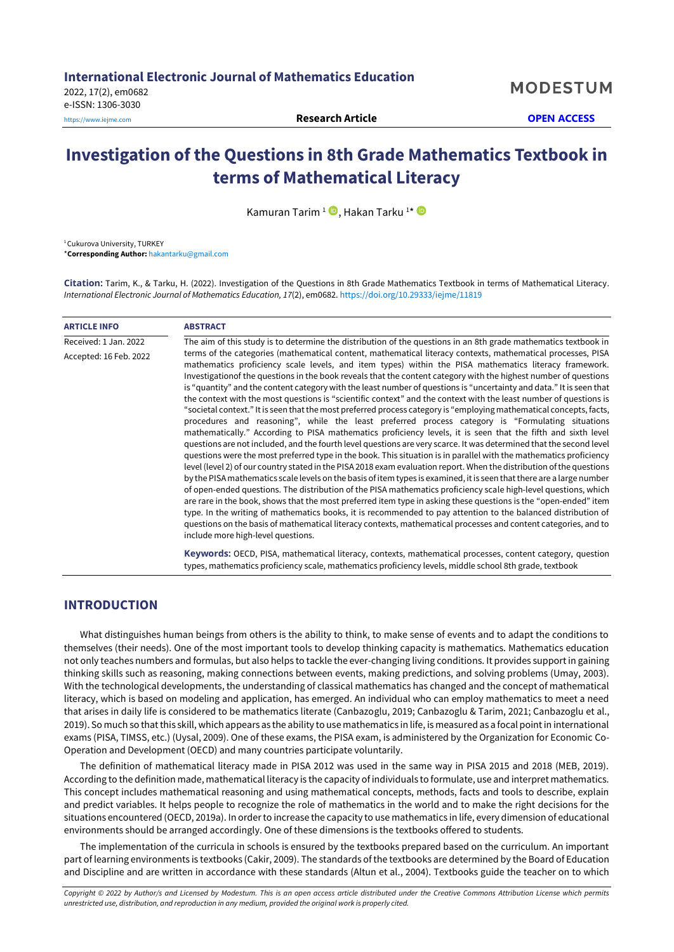# **Investigation of the Questions in 8th Grade Mathematics Textbook in terms of Mathematical Literacy**

Kamuran Tarim <sup>1</sup> ➡, Hakan Tarku <del>1</del>\*

<sup>1</sup> Cukurova University, TURKEY

\***Corresponding Author:** [hakantarku@gmail.com](mailto:hakantarku@gmail.com)

**Citation:** Tarim, K., & Tarku, H. (2022). Investigation of the Questions in 8th Grade Mathematics Textbook in terms of Mathematical Literacy. *International Electronic Journal of Mathematics Education, 17*(2), em0682. <https://doi.org/10.29333/iejme/11819>

| <b>ARTICLE INFO</b>    | <b>ABSTRACT</b>                                                                                                                                                                                                                                                                                                                                                                                                                                                                                                                                                                                                                                                                                                                                                                                                                                                                                                                                                                                                                                                                                                                                                                                                                                                                                                                                                                                                                                                                                                                                                                                                                                                                                                                                                                                                                                                                                                                                  |
|------------------------|--------------------------------------------------------------------------------------------------------------------------------------------------------------------------------------------------------------------------------------------------------------------------------------------------------------------------------------------------------------------------------------------------------------------------------------------------------------------------------------------------------------------------------------------------------------------------------------------------------------------------------------------------------------------------------------------------------------------------------------------------------------------------------------------------------------------------------------------------------------------------------------------------------------------------------------------------------------------------------------------------------------------------------------------------------------------------------------------------------------------------------------------------------------------------------------------------------------------------------------------------------------------------------------------------------------------------------------------------------------------------------------------------------------------------------------------------------------------------------------------------------------------------------------------------------------------------------------------------------------------------------------------------------------------------------------------------------------------------------------------------------------------------------------------------------------------------------------------------------------------------------------------------------------------------------------------------|
| Received: 1 Jan. 2022  | The aim of this study is to determine the distribution of the questions in an 8th grade mathematics textbook in                                                                                                                                                                                                                                                                                                                                                                                                                                                                                                                                                                                                                                                                                                                                                                                                                                                                                                                                                                                                                                                                                                                                                                                                                                                                                                                                                                                                                                                                                                                                                                                                                                                                                                                                                                                                                                  |
| Accepted: 16 Feb. 2022 | terms of the categories (mathematical content, mathematical literacy contexts, mathematical processes, PISA<br>mathematics proficiency scale levels, and item types) within the PISA mathematics literacy framework.<br>Investigationof the questions in the book reveals that the content category with the highest number of questions<br>is "guantity" and the content category with the least number of questions is "uncertainty and data." It is seen that<br>the context with the most questions is "scientific context" and the context with the least number of questions is<br>"societal context." It is seen that the most preferred process category is "employing mathematical concepts, facts,<br>procedures and reasoning", while the least preferred process category is "Formulating situations<br>mathematically." According to PISA mathematics proficiency levels, it is seen that the fifth and sixth level<br>questions are not included, and the fourth level questions are very scarce. It was determined that the second level<br>questions were the most preferred type in the book. This situation is in parallel with the mathematics proficiency<br>level (level 2) of our country stated in the PISA 2018 exam evaluation report. When the distribution of the questions<br>by the PISA mathematics scale levels on the basis of item types is examined, it is seen that there are a large number<br>of open-ended questions. The distribution of the PISA mathematics proficiency scale high-level questions, which<br>are rare in the book, shows that the most preferred item type in asking these questions is the "open-ended" item<br>type. In the writing of mathematics books, it is recommended to pay attention to the balanced distribution of<br>questions on the basis of mathematical literacy contexts, mathematical processes and content categories, and to<br>include more high-level questions. |
|                        | Keywords: OECD, PISA, mathematical literacy, contexts, mathematical processes, content category, question<br>types, mathematics proficiency scale, mathematics proficiency levels, middle school 8th grade, textbook                                                                                                                                                                                                                                                                                                                                                                                                                                                                                                                                                                                                                                                                                                                                                                                                                                                                                                                                                                                                                                                                                                                                                                                                                                                                                                                                                                                                                                                                                                                                                                                                                                                                                                                             |

## **INTRODUCTION**

What distinguishes human beings from others is the ability to think, to make sense of events and to adapt the conditions to themselves (their needs). One of the most important tools to develop thinking capacity is mathematics. Mathematics education not only teaches numbers and formulas, but also helps to tackle the ever-changing living conditions. It provides support in gaining thinking skills such as reasoning, making connections between events, making predictions, and solving problems (Umay, 2003). With the technological developments, the understanding of classical mathematics has changed and the concept of mathematical literacy, which is based on modeling and application, has emerged. An individual who can employ mathematics to meet a need that arises in daily life is considered to be mathematics literate (Canbazoglu, 2019; Canbazoglu & Tarim, 2021; Canbazoglu et al., 2019). So much so that this skill, which appears as the ability to use mathematics in life, is measured as a focal point in international exams (PISA, TIMSS, etc.) (Uysal, 2009). One of these exams, the PISA exam, is administered by the Organization for Economic Co-Operation and Development (OECD) and many countries participate voluntarily.

The definition of mathematical literacy made in PISA 2012 was used in the same way in PISA 2015 and 2018 (MEB, 2019). According to the definition made, mathematical literacy is the capacity of individuals to formulate, use and interpret mathematics. This concept includes mathematical reasoning and using mathematical concepts, methods, facts and tools to describe, explain and predict variables. It helps people to recognize the role of mathematics in the world and to make the right decisions for the situations encountered (OECD, 2019a). In order to increase the capacity to use mathematics in life, every dimension of educational environments should be arranged accordingly. One of these dimensions is the textbooks offered to students.

The implementation of the curricula in schools is ensured by the textbooks prepared based on the curriculum. An important part of learning environments is textbooks (Cakir, 2009). The standards of the textbooks are determined by the Board of Education and Discipline and are written in accordance with these standards (Altun et al., 2004). Textbooks guide the teacher on to which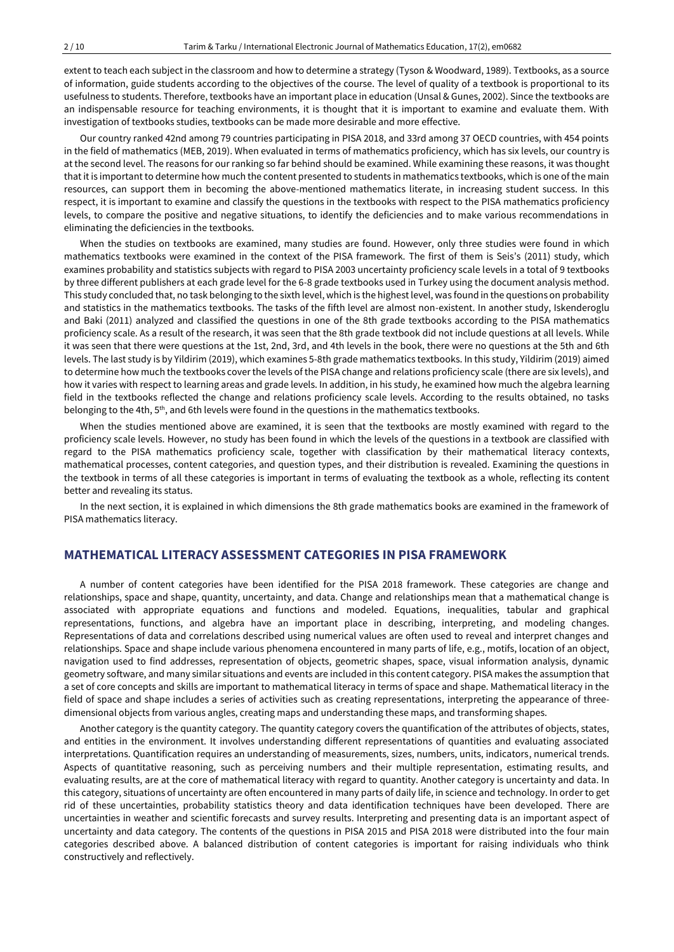extent to teach each subject in the classroom and how to determine a strategy (Tyson & Woodward, 1989). Textbooks, as a source of information, guide students according to the objectives of the course. The level of quality of a textbook is proportional to its usefulness to students. Therefore, textbooks have an important place in education (Unsal & Gunes, 2002). Since the textbooks are an indispensable resource for teaching environments, it is thought that it is important to examine and evaluate them. With investigation of textbooks studies, textbooks can be made more desirable and more effective.

Our country ranked 42nd among 79 countries participating in PISA 2018, and 33rd among 37 OECD countries, with 454 points in the field of mathematics (MEB, 2019). When evaluated in terms of mathematics proficiency, which has six levels, our country is at the second level. The reasons for our ranking so far behind should be examined. While examining these reasons, it was thought that it is important to determine how much the content presented to students in mathematics textbooks, which is one of the main resources, can support them in becoming the above-mentioned mathematics literate, in increasing student success. In this respect, it is important to examine and classify the questions in the textbooks with respect to the PISA mathematics proficiency levels, to compare the positive and negative situations, to identify the deficiencies and to make various recommendations in eliminating the deficiencies in the textbooks.

When the studies on textbooks are examined, many studies are found. However, only three studies were found in which mathematics textbooks were examined in the context of the PISA framework. The first of them is Seis's (2011) study, which examines probability and statistics subjects with regard to PISA 2003 uncertainty proficiency scale levels in a total of 9 textbooks by three different publishers at each grade level for the 6-8 grade textbooks used in Turkey using the document analysis method. This study concluded that, no task belonging to the sixth level, which is the highest level, was found in the questions on probability and statistics in the mathematics textbooks. The tasks of the fifth level are almost non-existent. In another study, Iskenderoglu and Baki (2011) analyzed and classified the questions in one of the 8th grade textbooks according to the PISA mathematics proficiency scale. As a result of the research, it was seen that the 8th grade textbook did not include questions at all levels. While it was seen that there were questions at the 1st, 2nd, 3rd, and 4th levels in the book, there were no questions at the 5th and 6th levels. The last study is by Yildirim (2019), which examines 5-8th grade mathematics textbooks. In this study, Yildirim (2019) aimed to determine how much the textbooks cover the levels of the PISA change and relations proficiency scale (there are six levels), and how it varies with respect to learning areas and grade levels. In addition, in his study, he examined how much the algebra learning field in the textbooks reflected the change and relations proficiency scale levels. According to the results obtained, no tasks belonging to the 4th, 5<sup>th</sup>, and 6th levels were found in the questions in the mathematics textbooks.

When the studies mentioned above are examined, it is seen that the textbooks are mostly examined with regard to the proficiency scale levels. However, no study has been found in which the levels of the questions in a textbook are classified with regard to the PISA mathematics proficiency scale, together with classification by their mathematical literacy contexts, mathematical processes, content categories, and question types, and their distribution is revealed. Examining the questions in the textbook in terms of all these categories is important in terms of evaluating the textbook as a whole, reflecting its content better and revealing its status.

In the next section, it is explained in which dimensions the 8th grade mathematics books are examined in the framework of PISA mathematics literacy.

## **MATHEMATICAL LITERACY ASSESSMENT CATEGORIES IN PISA FRAMEWORK**

A number of content categories have been identified for the PISA 2018 framework. These categories are change and relationships, space and shape, quantity, uncertainty, and data. Change and relationships mean that a mathematical change is associated with appropriate equations and functions and modeled. Equations, inequalities, tabular and graphical representations, functions, and algebra have an important place in describing, interpreting, and modeling changes. Representations of data and correlations described using numerical values are often used to reveal and interpret changes and relationships. Space and shape include various phenomena encountered in many parts of life, e.g., motifs, location of an object, navigation used to find addresses, representation of objects, geometric shapes, space, visual information analysis, dynamic geometry software, and many similar situations and events are included in this content category. PISA makes the assumption that a set of core concepts and skills are important to mathematical literacy in terms of space and shape. Mathematical literacy in the field of space and shape includes a series of activities such as creating representations, interpreting the appearance of threedimensional objects from various angles, creating maps and understanding these maps, and transforming shapes.

Another category is the quantity category. The quantity category covers the quantification of the attributes of objects, states, and entities in the environment. It involves understanding different representations of quantities and evaluating associated interpretations. Quantification requires an understanding of measurements, sizes, numbers, units, indicators, numerical trends. Aspects of quantitative reasoning, such as perceiving numbers and their multiple representation, estimating results, and evaluating results, are at the core of mathematical literacy with regard to quantity. Another category is uncertainty and data. In this category, situations of uncertainty are often encountered in many parts of daily life, in science and technology. In order to get rid of these uncertainties, probability statistics theory and data identification techniques have been developed. There are uncertainties in weather and scientific forecasts and survey results. Interpreting and presenting data is an important aspect of uncertainty and data category. The contents of the questions in PISA 2015 and PISA 2018 were distributed into the four main categories described above. A balanced distribution of content categories is important for raising individuals who think constructively and reflectively.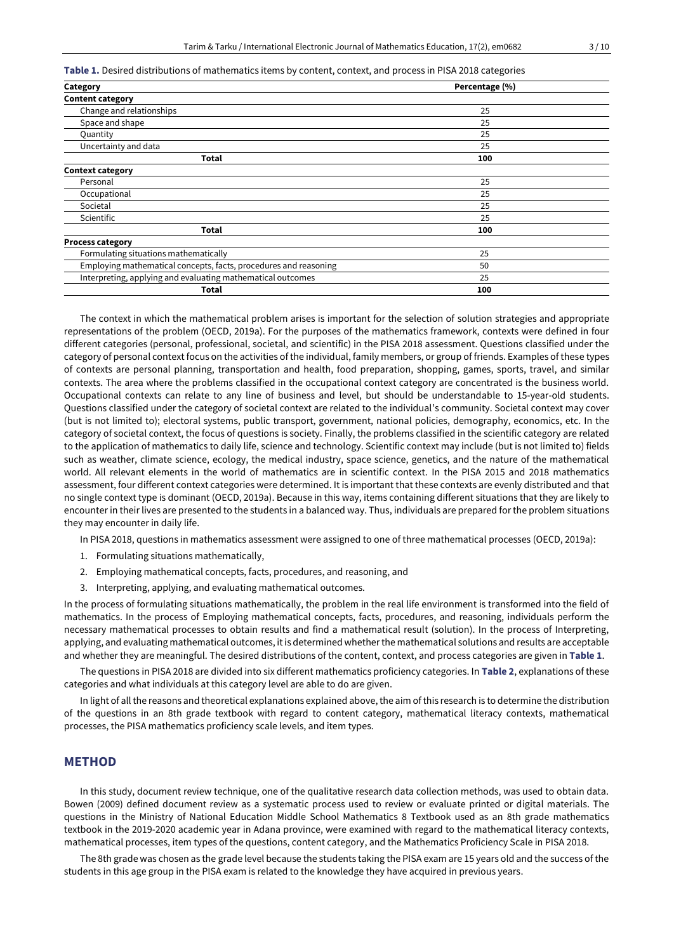#### **Table 1.** Desired distributions of mathematics items by content, context, and process in PISA 2018 categories

| Category                                                         | Percentage (%) |  |
|------------------------------------------------------------------|----------------|--|
| <b>Content category</b>                                          |                |  |
| Change and relationships                                         | 25             |  |
| Space and shape                                                  | 25             |  |
| Quantity                                                         | 25             |  |
| Uncertainty and data                                             | 25             |  |
| Total                                                            | 100            |  |
| <b>Context category</b>                                          |                |  |
| Personal                                                         | 25             |  |
| Occupational                                                     | 25             |  |
| Societal                                                         | 25             |  |
| Scientific                                                       | 25             |  |
| <b>Total</b>                                                     | 100            |  |
| <b>Process category</b>                                          |                |  |
| Formulating situations mathematically                            | 25             |  |
| Employing mathematical concepts, facts, procedures and reasoning | 50             |  |
| Interpreting, applying and evaluating mathematical outcomes      | 25             |  |
| Total                                                            | 100            |  |

The context in which the mathematical problem arises is important for the selection of solution strategies and appropriate representations of the problem (OECD, 2019a). For the purposes of the mathematics framework, contexts were defined in four different categories (personal, professional, societal, and scientific) in the PISA 2018 assessment. Questions classified under the category of personal context focus on the activities of the individual, family members, or group of friends. Examples of these types of contexts are personal planning, transportation and health, food preparation, shopping, games, sports, travel, and similar contexts. The area where the problems classified in the occupational context category are concentrated is the business world. Occupational contexts can relate to any line of business and level, but should be understandable to 15-year-old students. Questions classified under the category of societal context are related to the individual's community. Societal context may cover (but is not limited to); electoral systems, public transport, government, national policies, demography, economics, etc. In the category of societal context, the focus of questions is society. Finally, the problems classified in the scientific category are related to the application of mathematics to daily life, science and technology. Scientific context may include (but is not limited to) fields such as weather, climate science, ecology, the medical industry, space science, genetics, and the nature of the mathematical world. All relevant elements in the world of mathematics are in scientific context. In the PISA 2015 and 2018 mathematics assessment, four different context categories were determined. It is important that these contexts are evenly distributed and that no single context type is dominant (OECD, 2019a). Because in this way, items containing different situations that they are likely to encounter in their lives are presented to the students in a balanced way. Thus, individuals are prepared for the problem situations they may encounter in daily life.

In PISA 2018, questions in mathematics assessment were assigned to one of three mathematical processes (OECD, 2019a):

- 1. Formulating situations mathematically,
- 2. Employing mathematical concepts, facts, procedures, and reasoning, and
- 3. Interpreting, applying, and evaluating mathematical outcomes.

In the process of formulating situations mathematically, the problem in the real life environment is transformed into the field of mathematics. In the process of Employing mathematical concepts, facts, procedures, and reasoning, individuals perform the necessary mathematical processes to obtain results and find a mathematical result (solution). In the process of Interpreting, applying, and evaluating mathematical outcomes, it is determined whether the mathematical solutions and results are acceptable and whether they are meaningful. The desired distributions of the content, context, and process categories are given in **Table 1**.

The questions in PISA 2018 are divided into six different mathematics proficiency categories. In **Table 2**, explanations of these categories and what individuals at this category level are able to do are given.

In light of all the reasons and theoretical explanations explained above, the aim of this research is to determine the distribution of the questions in an 8th grade textbook with regard to content category, mathematical literacy contexts, mathematical processes, the PISA mathematics proficiency scale levels, and item types.

## **METHOD**

In this study, document review technique, one of the qualitative research data collection methods, was used to obtain data. Bowen (2009) defined document review as a systematic process used to review or evaluate printed or digital materials. The questions in the Ministry of National Education Middle School Mathematics 8 Textbook used as an 8th grade mathematics textbook in the 2019-2020 academic year in Adana province, were examined with regard to the mathematical literacy contexts, mathematical processes, item types of the questions, content category, and the Mathematics Proficiency Scale in PISA 2018.

The 8th grade was chosen as the grade level because the students taking the PISA exam are 15 years old and the success of the students in this age group in the PISA exam is related to the knowledge they have acquired in previous years.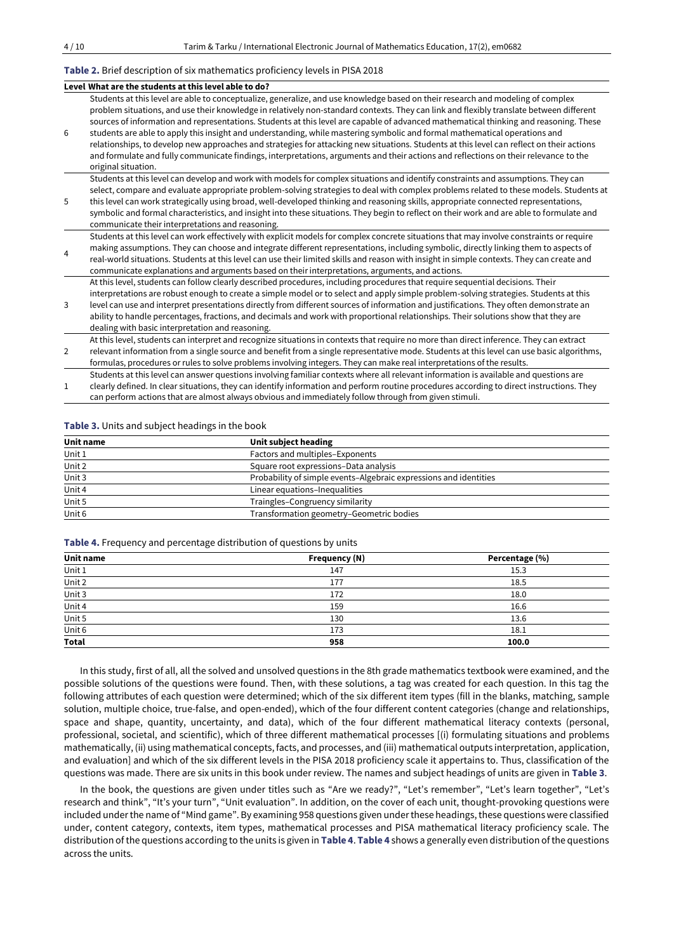#### **Table 2.** Brief description of six mathematics proficiency levels in PISA 2018

|                | Level What are the students at this level able to do?                                                                                                                                                                                                                                                                                                                                                                                                                                                                                                                                                                                                                                                                                                                                                                                                         |
|----------------|---------------------------------------------------------------------------------------------------------------------------------------------------------------------------------------------------------------------------------------------------------------------------------------------------------------------------------------------------------------------------------------------------------------------------------------------------------------------------------------------------------------------------------------------------------------------------------------------------------------------------------------------------------------------------------------------------------------------------------------------------------------------------------------------------------------------------------------------------------------|
| 6              | Students at this level are able to conceptualize, generalize, and use knowledge based on their research and modeling of complex<br>problem situations, and use their knowledge in relatively non-standard contexts. They can link and flexibly translate between different<br>sources of information and representations. Students at this level are capable of advanced mathematical thinking and reasoning. These<br>students are able to apply this insight and understanding, while mastering symbolic and formal mathematical operations and<br>relationships, to develop new approaches and strategies for attacking new situations. Students at this level can reflect on their actions<br>and formulate and fully communicate findings, interpretations, arguments and their actions and reflections on their relevance to the<br>original situation. |
| 5              | Students at this level can develop and work with models for complex situations and identify constraints and assumptions. They can<br>select, compare and evaluate appropriate problem-solving strategies to deal with complex problems related to these models. Students at<br>this level can work strategically using broad, well-developed thinking and reasoning skills, appropriate connected representations,<br>symbolic and formal characteristics, and insight into these situations. They begin to reflect on their work and are able to formulate and<br>communicate their interpretations and reasoning.                                                                                                                                                                                                                                           |
| $\overline{4}$ | Students at this level can work effectively with explicit models for complex concrete situations that may involve constraints or require<br>making assumptions. They can choose and integrate different representations, including symbolic, directly linking them to aspects of<br>real-world situations. Students at this level can use their limited skills and reason with insight in simple contexts. They can create and<br>communicate explanations and arguments based on their interpretations, arguments, and actions.                                                                                                                                                                                                                                                                                                                              |
| 3              | At this level, students can follow clearly described procedures, including procedures that require sequential decisions. Their<br>interpretations are robust enough to create a simple model or to select and apply simple problem-solving strategies. Students at this<br>level can use and interpret presentations directly from different sources of information and justifications. They often demonstrate an<br>ability to handle percentages, fractions, and decimals and work with proportional relationships. Their solutions show that they are<br>dealing with basic interpretation and reasoning.                                                                                                                                                                                                                                                  |

2 At this level, students can interpret and recognize situations in contexts that require no more than direct inference. They can extract relevant information from a single source and benefit from a single representative mode. Students at this level can use basic algorithms, formulas, procedures or rules to solve problems involving integers. They can make real interpretations of the results.

1 Students at this level can answer questions involving familiar contexts where all relevant information is available and questions are clearly defined. In clear situations, they can identify information and perform routine procedures according to direct instructions. They

can perform actions that are almost always obvious and immediately follow through from given stimuli.

**Table 3.** Units and subject headings in the book

| Unit name | Unit subject heading                                              |
|-----------|-------------------------------------------------------------------|
| Unit $1$  | Factors and multiples-Exponents                                   |
| Unit 2    | Square root expressions-Data analysis                             |
| Unit 3    | Probability of simple events-Algebraic expressions and identities |
| Unit 4    | Linear equations-Inequalities                                     |
| Unit 5    | Traingles-Congruency similarity                                   |
| Unit 6    | Transformation geometry-Geometric bodies                          |

#### **Table 4.** Frequency and percentage distribution of questions by units

| Unit name    | Frequency (N) | Percentage (%) |
|--------------|---------------|----------------|
| Unit $1$     | 147           | 15.3           |
| Unit $2$     | 177           | 18.5           |
| Unit 3       | 172           | 18.0           |
| Unit 4       | 159           | 16.6           |
| Unit 5       | 130           | 13.6           |
| Unit 6       | 173           | 18.1           |
| <b>Total</b> | 958           | 100.0          |

In this study, first of all, all the solved and unsolved questions in the 8th grade mathematics textbook were examined, and the possible solutions of the questions were found. Then, with these solutions, a tag was created for each question. In this tag the following attributes of each question were determined; which of the six different item types (fill in the blanks, matching, sample solution, multiple choice, true-false, and open-ended), which of the four different content categories (change and relationships, space and shape, quantity, uncertainty, and data), which of the four different mathematical literacy contexts (personal, professional, societal, and scientific), which of three different mathematical processes [(i) formulating situations and problems mathematically, (ii) using mathematical concepts, facts, and processes, and (iii) mathematical outputs interpretation, application, and evaluation] and which of the six different levels in the PISA 2018 proficiency scale it appertains to. Thus, classification of the questions was made. There are six units in this book under review. The names and subject headings of units are given in **Table 3**.

In the book, the questions are given under titles such as "Are we ready?", "Let's remember", "Let's learn together", "Let's research and think", "It's your turn", "Unit evaluation". In addition, on the cover of each unit, thought-provoking questions were included under the name of "Mind game". By examining 958 questions given under these headings, these questions were classified under, content category, contexts, item types, mathematical processes and PISA mathematical literacy proficiency scale. The distribution of the questions according to the units is given in **Table 4**. **Table 4** shows a generally even distribution of the questions across the units.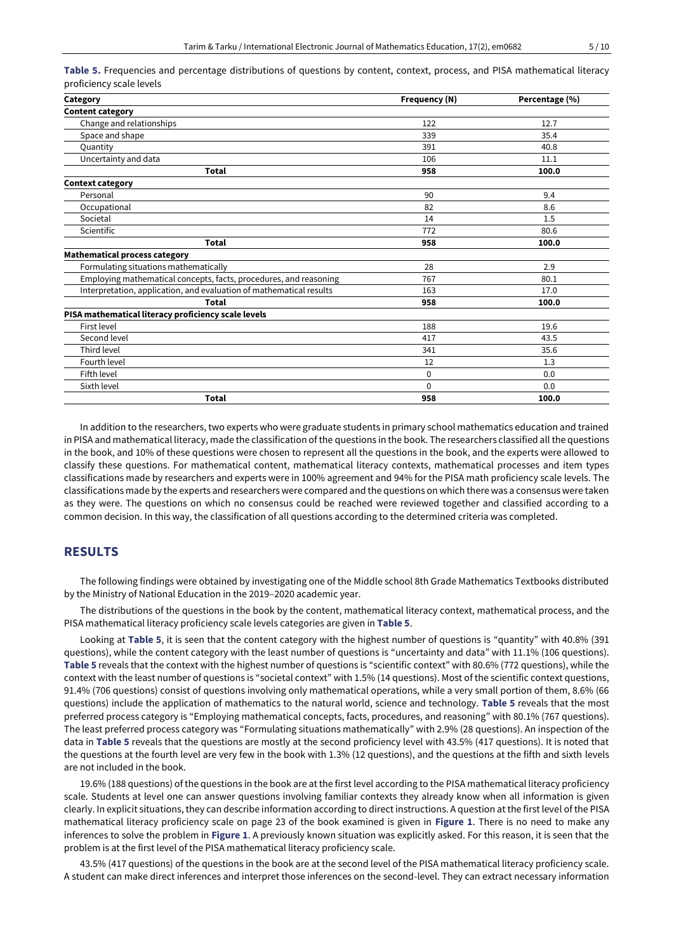| Category                                                            | Frequency (N)                                                                                     | Percentage (%) |
|---------------------------------------------------------------------|---------------------------------------------------------------------------------------------------|----------------|
| <b>Content category</b>                                             |                                                                                                   |                |
| Change and relationships                                            | 122                                                                                               | 12.7           |
| Space and shape                                                     | 339                                                                                               | 35.4           |
| Quantity                                                            | 391                                                                                               | 40.8           |
| Uncertainty and data                                                | 106                                                                                               | 11.1           |
| <b>Total</b>                                                        | 958                                                                                               | 100.0          |
| <b>Context category</b>                                             |                                                                                                   |                |
| Personal                                                            | 90                                                                                                | 9.4            |
| Occupational                                                        | 82                                                                                                | 8.6            |
| Societal                                                            | 14                                                                                                | 1.5            |
| Scientific                                                          | 772                                                                                               | 80.6           |
| <b>Total</b>                                                        | 958                                                                                               | 100.0          |
| <b>Mathematical process category</b>                                |                                                                                                   |                |
| Formulating situations mathematically                               | 28                                                                                                | 2.9            |
| Employing mathematical concepts, facts, procedures, and reasoning   | 767                                                                                               | 80.1           |
| Interpretation, application, and evaluation of mathematical results | 163<br>17.0<br>958<br>100.0<br>188<br>19.6<br>417<br>43.5<br>341<br>35.6<br>1.3<br>12<br>0<br>0.0 |                |
| <b>Total</b>                                                        |                                                                                                   |                |
| PISA mathematical literacy proficiency scale levels                 |                                                                                                   |                |
| First level                                                         |                                                                                                   |                |
| Second level                                                        |                                                                                                   |                |
| Third level                                                         |                                                                                                   |                |
| Fourth level                                                        |                                                                                                   |                |
| Fifth level                                                         |                                                                                                   |                |
| Sixth level                                                         | $\Omega$                                                                                          | 0.0            |
| <b>Total</b>                                                        | 958                                                                                               | 100.0          |

**Table 5.** Frequencies and percentage distributions of questions by content, context, process, and PISA mathematical literacy proficiency scale levels

In addition to the researchers, two experts who were graduate students in primary school mathematics education and trained in PISA and mathematical literacy, made the classification of the questions in the book. The researchers classified all the questions in the book, and 10% of these questions were chosen to represent all the questions in the book, and the experts were allowed to classify these questions. For mathematical content, mathematical literacy contexts, mathematical processes and item types classifications made by researchers and experts were in 100% agreement and 94% for the PISA math proficiency scale levels. The classifications made by the experts and researchers were compared and the questions on which there was a consensus were taken as they were. The questions on which no consensus could be reached were reviewed together and classified according to a common decision. In this way, the classification of all questions according to the determined criteria was completed.

## **RESULTS**

The following findings were obtained by investigating one of the Middle school 8th Grade Mathematics Textbooks distributed by the Ministry of National Education in the 2019–2020 academic year.

The distributions of the questions in the book by the content, mathematical literacy context, mathematical process, and the PISA mathematical literacy proficiency scale levels categories are given in **Table 5**.

Looking at **Table 5**, it is seen that the content category with the highest number of questions is "quantity" with 40.8% (391 questions), while the content category with the least number of questions is "uncertainty and data" with 11.1% (106 questions). **Table 5** reveals that the context with the highest number of questions is "scientific context" with 80.6% (772 questions), while the context with the least number of questions is "societal context" with 1.5% (14 questions). Most of the scientific context questions, 91.4% (706 questions) consist of questions involving only mathematical operations, while a very small portion of them, 8.6% (66 questions) include the application of mathematics to the natural world, science and technology. **Table 5** reveals that the most preferred process category is "Employing mathematical concepts, facts, procedures, and reasoning" with 80.1% (767 questions). The least preferred process category was "Formulating situations mathematically" with 2.9% (28 questions). An inspection of the data in **Table 5** reveals that the questions are mostly at the second proficiency level with 43.5% (417 questions). It is noted that the questions at the fourth level are very few in the book with 1.3% (12 questions), and the questions at the fifth and sixth levels are not included in the book.

19.6% (188 questions) of the questions in the book are at the first level according to the PISA mathematical literacy proficiency scale. Students at level one can answer questions involving familiar contexts they already know when all information is given clearly. In explicit situations, they can describe information according to direct instructions. A question at the first level of the PISA mathematical literacy proficiency scale on page 23 of the book examined is given in **Figure 1**. There is no need to make any inferences to solve the problem in **Figure 1**. A previously known situation was explicitly asked. For this reason, it is seen that the problem is at the first level of the PISA mathematical literacy proficiency scale.

43.5% (417 questions) of the questions in the book are at the second level of the PISA mathematical literacy proficiency scale. A student can make direct inferences and interpret those inferences on the second-level. They can extract necessary information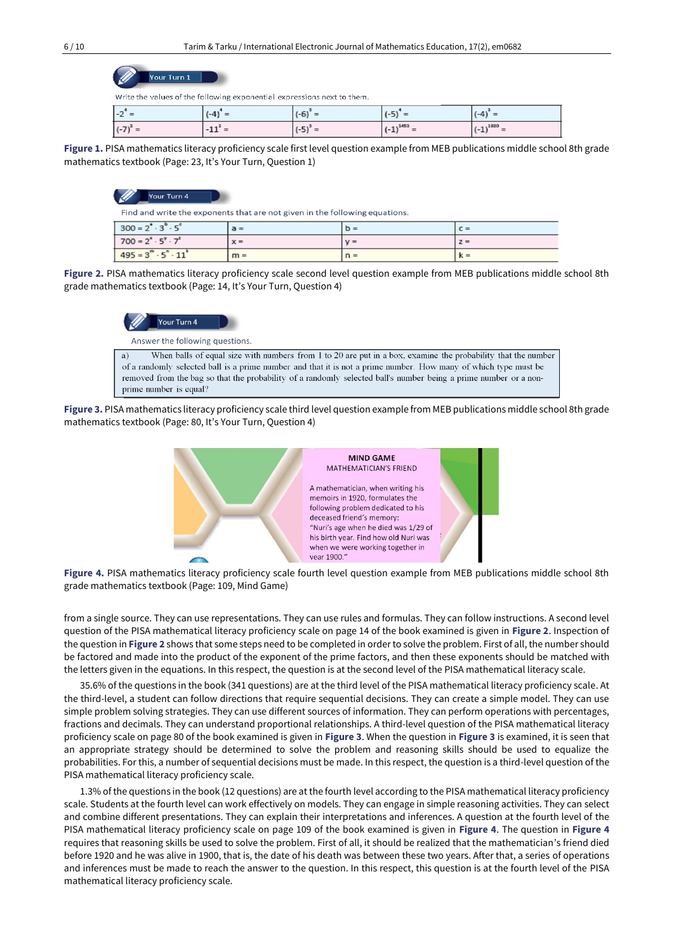| Your Turn 1 |  |  |
|-------------|--|--|
|             |  |  |

Write the values of the following exponential expressions next to them.

| $-2 =$       | $(-4)$<br>$=$ | $-1$<br>$(-b) =$ | = (כ-)            | $-41$<br>$=$ |
|--------------|---------------|------------------|-------------------|--------------|
| $(-7)^{2} =$ | $-11^* =$     | $(-5)^{\circ} =$ | $-1452$<br>$(-1)$ | $-192n$<br>- |

**Figure 1.** PISA mathematics literacy proficiency scale first level question example from MEB publications middle school 8th grade mathematics textbook (Page: 23, It's Your Turn, Question 1)

#### Your Turn 4

Find and write the exponents that are not given in the following equations.

| $300 = 2^{\circ} \cdot 3^{\circ} \cdot 5^{\circ}$ | $a =$ | $D =$ | $C =$ |
|---------------------------------------------------|-------|-------|-------|
| $700 = 2^x \cdot 5^y \cdot 7^x$                   | $x =$ | $V =$ | $z =$ |
| $495 = 3^m \cdot 5^n \cdot 11^k$                  | $m =$ | $n =$ | $k =$ |

**Figure 2.** PISA mathematics literacy proficiency scale second level question example from MEB publications middle school 8th grade mathematics textbook (Page: 14, It's Your Turn, Question 4)



Answer the following questions.

When balls of equal size with numbers from 1 to 20 are put in a box, examine the probability that the number  $\mathbf{a}^{\prime}$ of a randomly selected ball is a prime number and that it is not a prime number. How many of which type must be removed from the bag so that the probability of a randomly selected ball's number being a prime number or a nonprime number is equal?

**Figure 3.** PISA mathematics literacy proficiency scale third level question example from MEB publications middle school 8th grade mathematics textbook (Page: 80, It's Your Turn, Question 4)



**Figure 4.** PISA mathematics literacy proficiency scale fourth level question example from MEB publications middle school 8th grade mathematics textbook (Page: 109, Mind Game)

from a single source. They can use representations. They can use rules and formulas. They can follow instructions. A second level question of the PISA mathematical literacy proficiency scale on page 14 of the book examined is given in **Figure 2**. Inspection of the question in **Figure 2** shows that some steps need to be completed in order to solve the problem. First of all, the number should be factored and made into the product of the exponent of the prime factors, and then these exponents should be matched with the letters given in the equations. In this respect, the question is at the second level of the PISA mathematical literacy scale.

35.6% of the questions in the book (341 questions) are at the third level of the PISA mathematical literacy proficiency scale. At the third-level, a student can follow directions that require sequential decisions. They can create a simple model. They can use simple problem solving strategies. They can use different sources of information. They can perform operations with percentages, fractions and decimals. They can understand proportional relationships. A third-level question of the PISA mathematical literacy proficiency scale on page 80 of the book examined is given in **Figure 3**. When the question in **Figure 3** is examined, it is seen that an appropriate strategy should be determined to solve the problem and reasoning skills should be used to equalize the probabilities. For this, a number of sequential decisions must be made. In this respect, the question is a third-level question of the PISA mathematical literacy proficiency scale.

1.3% of the questions in the book (12 questions) are at the fourth level according to the PISA mathematical literacy proficiency scale. Students at the fourth level can work effectively on models. They can engage in simple reasoning activities. They can select and combine different presentations. They can explain their interpretations and inferences. A question at the fourth level of the PISA mathematical literacy proficiency scale on page 109 of the book examined is given in **Figure 4**. The question in **Figure 4** requires that reasoning skills be used to solve the problem. First of all, it should be realized that the mathematician's friend died before 1920 and he was alive in 1900, that is, the date of his death was between these two years. After that, a series of operations and inferences must be made to reach the answer to the question. In this respect, this question is at the fourth level of the PISA mathematical literacy proficiency scale.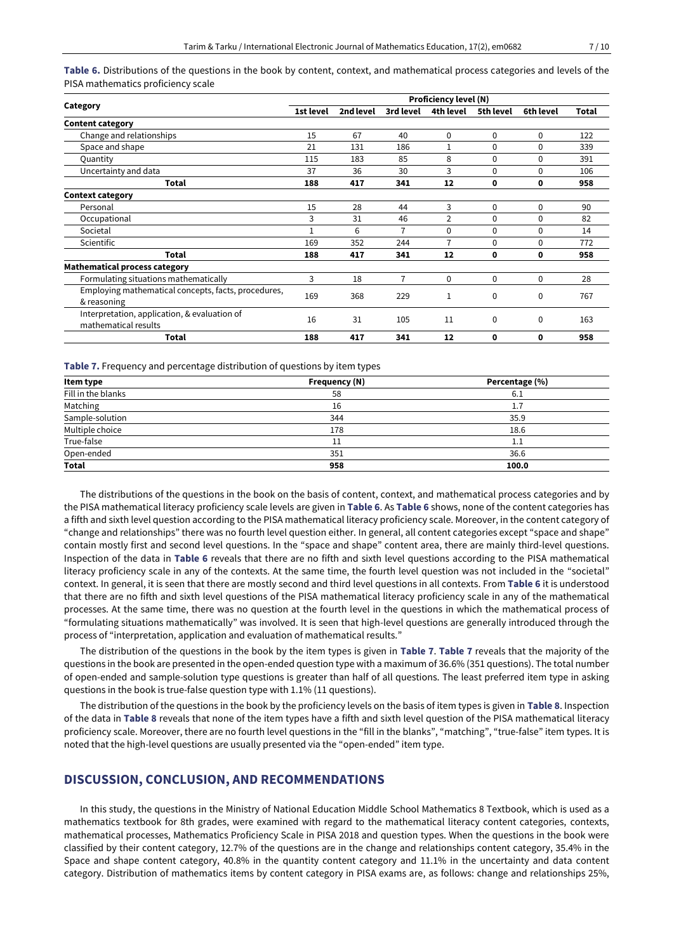**Table 6.** Distributions of the questions in the book by content, context, and mathematical process categories and levels of the PISA mathematics proficiency scale

|                                                                      | <b>Proficiency level (N)</b> |           |           |             |           |           |       |
|----------------------------------------------------------------------|------------------------------|-----------|-----------|-------------|-----------|-----------|-------|
| Category                                                             | 1st level                    | 2nd level | 3rd level | 4th level   | 5th level | 6th level | Total |
| <b>Content category</b>                                              |                              |           |           |             |           |           |       |
| Change and relationships                                             | 15                           | 67        | 40        | $\mathbf 0$ | 0         | 0         | 122   |
| Space and shape                                                      | 21                           | 131       | 186       |             | 0         | $\Omega$  | 339   |
| Quantity                                                             | 115                          | 183       | 85        | 8           | 0         | 0         | 391   |
| Uncertainty and data                                                 | 37                           | 36        | 30        | 3           | 0         | 0         | 106   |
| Total                                                                | 188                          | 417       | 341       | 12          | 0         | 0         | 958   |
| <b>Context category</b>                                              |                              |           |           |             |           |           |       |
| Personal                                                             | 15                           | 28        | 44        | 3           | 0         | $\Omega$  | 90    |
| Occupational                                                         | 3                            | 31        | 46        | 2           | 0         | 0         | 82    |
| Societal                                                             |                              | 6         | 7         | $\Omega$    | 0         | 0         | 14    |
| Scientific                                                           | 169                          | 352       | 244       | 7           | 0         | 0         | 772   |
| <b>Total</b>                                                         | 188                          | 417       | 341       | 12          | 0         | 0         | 958   |
| <b>Mathematical process category</b>                                 |                              |           |           |             |           |           |       |
| Formulating situations mathematically                                | 3                            | 18        | 7         | $\Omega$    | 0         | 0         | 28    |
| Employing mathematical concepts, facts, procedures,<br>& reasoning   | 169                          | 368       | 229       |             | 0         | 0         | 767   |
| Interpretation, application, & evaluation of<br>mathematical results | 16                           | 31        | 105       | 11          | 0         | 0         | 163   |
| <b>Total</b>                                                         | 188                          | 417       | 341       | 12          | 0         | 0         | 958   |

#### **Table 7.** Frequency and percentage distribution of questions by item types

| Item type          | Frequency (N) | Percentage (%) |
|--------------------|---------------|----------------|
| Fill in the blanks | 58            | 6.1            |
| Matching           | 16            | 1.7            |
| Sample-solution    | 344           | 35.9           |
| Multiple choice    | 178           | 18.6           |
| True-false         | 11            | $1.1\,$        |
| Open-ended         | 351           | 36.6           |
| <b>Total</b>       | 958           | 100.0          |

The distributions of the questions in the book on the basis of content, context, and mathematical process categories and by the PISA mathematical literacy proficiency scale levels are given in **Table 6**. As **Table 6** shows, none of the content categories has a fifth and sixth level question according to the PISA mathematical literacy proficiency scale. Moreover, in the content category of "change and relationships" there was no fourth level question either. In general, all content categories except "space and shape" contain mostly first and second level questions. In the "space and shape" content area, there are mainly third-level questions. Inspection of the data in **Table 6** reveals that there are no fifth and sixth level questions according to the PISA mathematical literacy proficiency scale in any of the contexts. At the same time, the fourth level question was not included in the "societal" context. In general, it is seen that there are mostly second and third level questions in all contexts. From **Table 6** it is understood that there are no fifth and sixth level questions of the PISA mathematical literacy proficiency scale in any of the mathematical processes. At the same time, there was no question at the fourth level in the questions in which the mathematical process of "formulating situations mathematically" was involved. It is seen that high-level questions are generally introduced through the process of "interpretation, application and evaluation of mathematical results."

The distribution of the questions in the book by the item types is given in **Table 7**. **Table 7** reveals that the majority of the questions in the book are presented in the open-ended question type with a maximum of 36.6% (351 questions). The total number of open-ended and sample-solution type questions is greater than half of all questions. The least preferred item type in asking questions in the book is true-false question type with 1.1% (11 questions).

The distribution of the questions in the book by the proficiency levels on the basis of item types is given in **Table 8**. Inspection of the data in **Table 8** reveals that none of the item types have a fifth and sixth level question of the PISA mathematical literacy proficiency scale. Moreover, there are no fourth level questions in the "fill in the blanks", "matching", "true-false" item types. It is noted that the high-level questions are usually presented via the "open-ended" item type.

### **DISCUSSION, CONCLUSION, AND RECOMMENDATIONS**

In this study, the questions in the Ministry of National Education Middle School Mathematics 8 Textbook, which is used as a mathematics textbook for 8th grades, were examined with regard to the mathematical literacy content categories, contexts, mathematical processes, Mathematics Proficiency Scale in PISA 2018 and question types. When the questions in the book were classified by their content category, 12.7% of the questions are in the change and relationships content category, 35.4% in the Space and shape content category, 40.8% in the quantity content category and 11.1% in the uncertainty and data content category. Distribution of mathematics items by content category in PISA exams are, as follows: change and relationships 25%,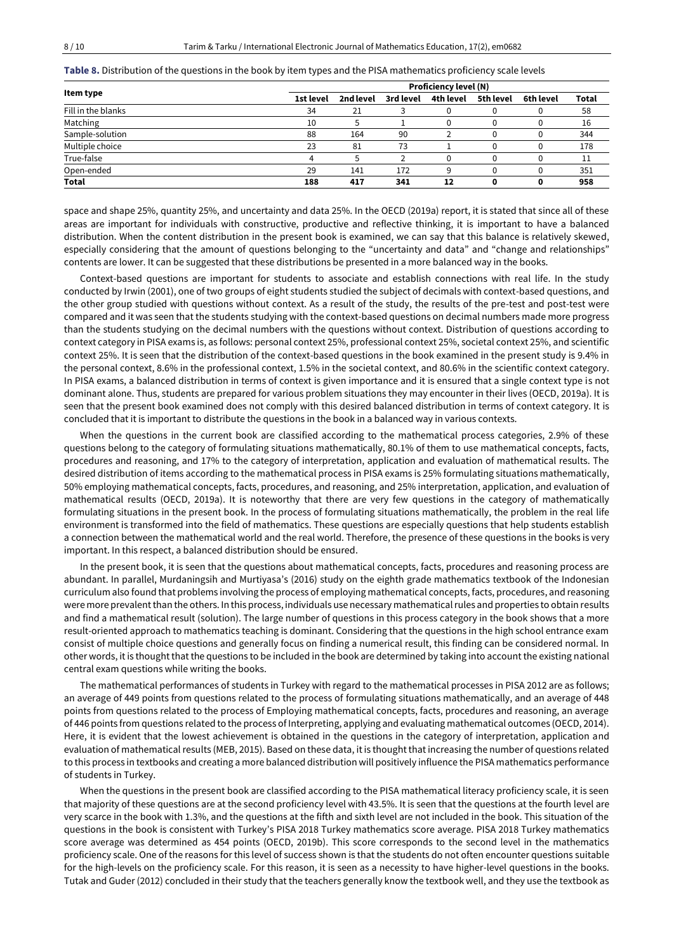| Item type          |           |           |           | <b>Proficiency level (N)</b> |           |           |       |
|--------------------|-----------|-----------|-----------|------------------------------|-----------|-----------|-------|
|                    | 1st level | 2nd level | 3rd level | 4th level                    | 5th level | 6th level | Total |
| Fill in the blanks | 34        | 21        |           |                              |           |           | 58    |
| Matching           | 10        |           |           |                              |           |           | 16    |
| Sample-solution    | 88        | 164       | 90        |                              |           |           | 344   |
| Multiple choice    | 23        | 81        | 73        |                              |           |           | 178   |
| True-false         | 4         |           |           |                              |           |           | 11    |
| Open-ended         | 29        | 141       | 172       | a                            |           |           | 351   |
| Total              | 188       | 417       | 341       | 12                           |           |           | 958   |

**Table 8.** Distribution of the questions in the book by item types and the PISA mathematics proficiency scale levels

space and shape 25%, quantity 25%, and uncertainty and data 25%. In the OECD (2019a) report, it is stated that since all of these areas are important for individuals with constructive, productive and reflective thinking, it is important to have a balanced distribution. When the content distribution in the present book is examined, we can say that this balance is relatively skewed, especially considering that the amount of questions belonging to the "uncertainty and data" and "change and relationships" contents are lower. It can be suggested that these distributions be presented in a more balanced way in the books.

Context-based questions are important for students to associate and establish connections with real life. In the study conducted by Irwin (2001), one of two groups of eight students studied the subject of decimals with context-based questions, and the other group studied with questions without context. As a result of the study, the results of the pre-test and post-test were compared and it was seen that the students studying with the context-based questions on decimal numbers made more progress than the students studying on the decimal numbers with the questions without context. Distribution of questions according to context category in PISA exams is, as follows: personal context 25%, professional context 25%, societal context 25%, and scientific context 25%. It is seen that the distribution of the context-based questions in the book examined in the present study is 9.4% in the personal context, 8.6% in the professional context, 1.5% in the societal context, and 80.6% in the scientific context category. In PISA exams, a balanced distribution in terms of context is given importance and it is ensured that a single context type is not dominant alone. Thus, students are prepared for various problem situations they may encounter in their lives (OECD, 2019a). It is seen that the present book examined does not comply with this desired balanced distribution in terms of context category. It is concluded that it is important to distribute the questions in the book in a balanced way in various contexts.

When the questions in the current book are classified according to the mathematical process categories, 2.9% of these questions belong to the category of formulating situations mathematically, 80.1% of them to use mathematical concepts, facts, procedures and reasoning, and 17% to the category of interpretation, application and evaluation of mathematical results. The desired distribution of items according to the mathematical process in PISA exams is 25% formulating situations mathematically, 50% employing mathematical concepts, facts, procedures, and reasoning, and 25% interpretation, application, and evaluation of mathematical results (OECD, 2019a). It is noteworthy that there are very few questions in the category of mathematically formulating situations in the present book. In the process of formulating situations mathematically, the problem in the real life environment is transformed into the field of mathematics. These questions are especially questions that help students establish a connection between the mathematical world and the real world. Therefore, the presence of these questions in the books is very important. In this respect, a balanced distribution should be ensured.

In the present book, it is seen that the questions about mathematical concepts, facts, procedures and reasoning process are abundant. In parallel, Murdaningsih and Murtiyasa's (2016) study on the eighth grade mathematics textbook of the Indonesian curriculum also found that problems involving the process of employing mathematical concepts, facts, procedures, and reasoning were more prevalent than the others. In this process, individuals use necessary mathematical rules and properties to obtain results and find a mathematical result (solution). The large number of questions in this process category in the book shows that a more result-oriented approach to mathematics teaching is dominant. Considering that the questions in the high school entrance exam consist of multiple choice questions and generally focus on finding a numerical result, this finding can be considered normal. In other words, it is thought that the questions to be included in the book are determined by taking into account the existing national central exam questions while writing the books.

The mathematical performances of students in Turkey with regard to the mathematical processes in PISA 2012 are as follows; an average of 449 points from questions related to the process of formulating situations mathematically, and an average of 448 points from questions related to the process of Employing mathematical concepts, facts, procedures and reasoning, an average of 446 points from questions related to the process of Interpreting, applying and evaluating mathematical outcomes (OECD, 2014). Here, it is evident that the lowest achievement is obtained in the questions in the category of interpretation, application and evaluation of mathematical results (MEB, 2015). Based on these data, it is thought that increasing the number of questions related to this process in textbooks and creating a more balanced distribution will positively influence the PISA mathematics performance of students in Turkey.

When the questions in the present book are classified according to the PISA mathematical literacy proficiency scale, it is seen that majority of these questions are at the second proficiency level with 43.5%. It is seen that the questions at the fourth level are very scarce in the book with 1.3%, and the questions at the fifth and sixth level are not included in the book. This situation of the questions in the book is consistent with Turkey's PISA 2018 Turkey mathematics score average. PISA 2018 Turkey mathematics score average was determined as 454 points (OECD, 2019b). This score corresponds to the second level in the mathematics proficiency scale. One of the reasons for this level of success shown is that the students do not often encounter questions suitable for the high-levels on the proficiency scale. For this reason, it is seen as a necessity to have higher-level questions in the books. Tutak and Guder (2012) concluded in their study that the teachers generally know the textbook well, and they use the textbook as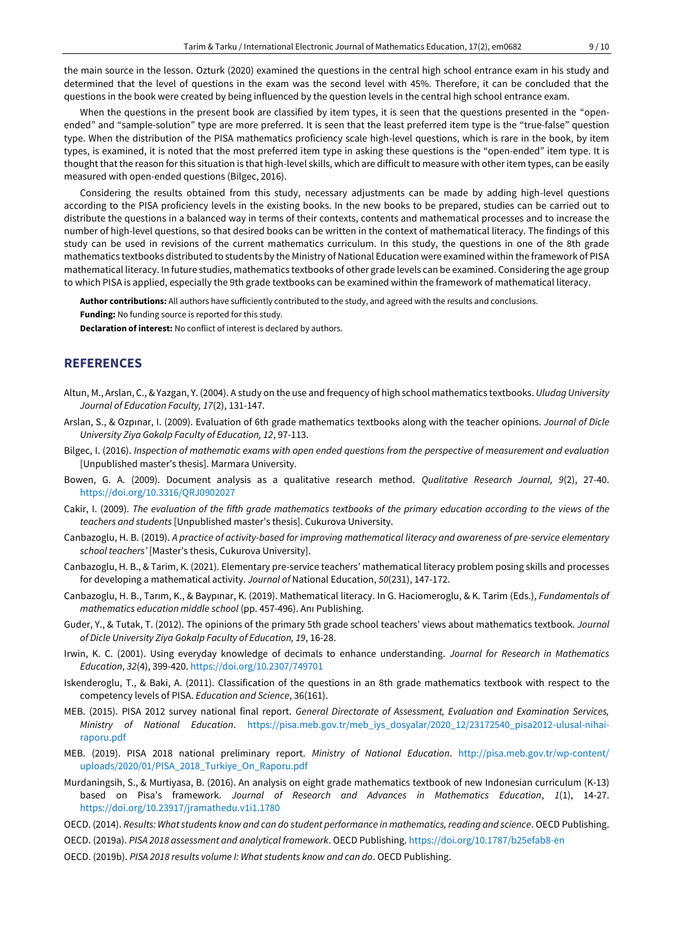the main source in the lesson. Ozturk (2020) examined the questions in the central high school entrance exam in his study and determined that the level of questions in the exam was the second level with 45%. Therefore, it can be concluded that the questions in the book were created by being influenced by the question levels in the central high school entrance exam.

When the questions in the present book are classified by item types, it is seen that the questions presented in the "openended" and "sample-solution" type are more preferred. It is seen that the least preferred item type is the "true-false" question type. When the distribution of the PISA mathematics proficiency scale high-level questions, which is rare in the book, by item types, is examined, it is noted that the most preferred item type in asking these questions is the "open-ended" item type. It is thought that the reason for this situation is that high-level skills, which are difficult to measure with other item types, can be easily measured with open-ended questions (Bilgec, 2016).

Considering the results obtained from this study, necessary adjustments can be made by adding high-level questions according to the PISA proficiency levels in the existing books. In the new books to be prepared, studies can be carried out to distribute the questions in a balanced way in terms of their contexts, contents and mathematical processes and to increase the number of high-level questions, so that desired books can be written in the context of mathematical literacy. The findings of this study can be used in revisions of the current mathematics curriculum. In this study, the questions in one of the 8th grade mathematics textbooks distributed to students by the Ministry of National Education were examined within the framework of PISA mathematical literacy. In future studies, mathematics textbooks of other grade levels can be examined. Considering the age group to which PISA is applied, especially the 9th grade textbooks can be examined within the framework of mathematical literacy.

**Author contributions:** All authors have sufficiently contributed to the study, and agreed with the results and conclusions.

**Funding:** No funding source is reported for this study.

**Declaration of interest:** No conflict of interest is declared by authors.

# **REFERENCES**

- Altun, M., Arslan, C., & Yazgan, Y. (2004). A study on the use and frequency of high school mathematics textbooks. *Uludag University Journal of Education Faculty, 17*(2), 131-147.
- Arslan, S., & Ozpınar, I. (2009). Evaluation of 6th grade mathematics textbooks along with the teacher opinions. *Journal of Dicle University Ziya Gokalp Faculty of Education, 12*, 97-113.
- Bilgec, I. (2016). *Inspection of mathematic exams with open ended questions from the perspective of measurement and evaluation* [Unpublished master's thesis]. Marmara University.
- Bowen, G. A. (2009). Document analysis as a qualitative research method. *Qualitative Research Journal, 9*(2), 27-40. <https://doi.org/10.3316/QRJ0902027>
- Cakir, I. (2009). *The evaluation of the fifth grade mathematics textbooks of the primary education according to the views of the teachers and students* [Unpublished master's thesis]. Cukurova University.
- Canbazoglu, H. B. (2019). *A practice of activity-based for improving mathematical literacy and awareness of pre-service elementary school teachers'* [Master's thesis, Cukurova University].
- Canbazoglu, H. B., & Tarim, K. (2021). Elementary pre-service teachers' mathematical literacy problem posing skills and processes for developing a mathematical activity. *Journal of* National Education, *50*(231), 147-172.
- Canbazoglu, H. B., Tarım, K., & Baypınar, K. (2019). Mathematical literacy. In G. Haciomeroglu, & K. Tarim (Eds.), *Fundamentals of mathematics education middle school* (pp. 457-496). Anı Publishing.
- Guder, Y., & Tutak, T. (2012). The opinions of the primary 5th grade school teachers' views about mathematics textbook. *Journal of Dicle University Ziya Gokalp Faculty of Education, 19*, 16-28.
- Irwin, K. C. (2001). Using everyday knowledge of decimals to enhance understanding. *Journal for Research in Mathematics Education*, *32*(4), 399-420. <https://doi.org/10.2307/749701>
- Iskenderoglu, T., & Baki, A. (2011). Classification of the questions in an 8th grade mathematics textbook with respect to the competency levels of PISA. *Education and Science*, 36(161).
- MEB. (2015). PISA 2012 survey national final report. *General Directorate of Assessment, Evaluation and Examination Services, Ministry of National Education*. [https://pisa.meb.gov.tr/meb\\_iys\\_dosyalar/2020\\_12/23172540\\_pisa2012-ulusal-nihai](https://pisa.meb.gov.tr/meb_iys_dosyalar/2020_12/23172540_pisa2012-ulusal-nihai-raporu.pdf)[raporu.pdf](https://pisa.meb.gov.tr/meb_iys_dosyalar/2020_12/23172540_pisa2012-ulusal-nihai-raporu.pdf)
- MEB. (2019). PISA 2018 national preliminary report. *Ministry of National Education*. [http://pisa.meb.gov.tr/wp-content/](http://pisa.meb.gov.tr/wp-content/uploads/2020/01/PISA_2018_Turkiye_On_Raporu.pdf) [uploads/2020/01/PISA\\_2018\\_Turkiye\\_On\\_Raporu.pdf](http://pisa.meb.gov.tr/wp-content/uploads/2020/01/PISA_2018_Turkiye_On_Raporu.pdf)
- Murdaningsih, S., & Murtiyasa, B. (2016). An analysis on eight grade mathematics textbook of new Indonesian curriculum (K-13) based on Pisa's framework. *Journal of Research and Advances in Mathematics Education*, *1*(1), 14-27. <https://doi.org/10.23917/jramathedu.v1i1.1780>
- OECD. (2014). *Results: What students know and can do student performance in mathematics, reading and science*. OECD Publishing.
- OECD. (2019a). *PISA 2018 assessment and analytical framework*. OECD Publishing. <https://doi.org/10.1787/b25efab8-en>
- OECD. (2019b). *PISA 2018 results volume I: What students know and can do*. OECD Publishing.